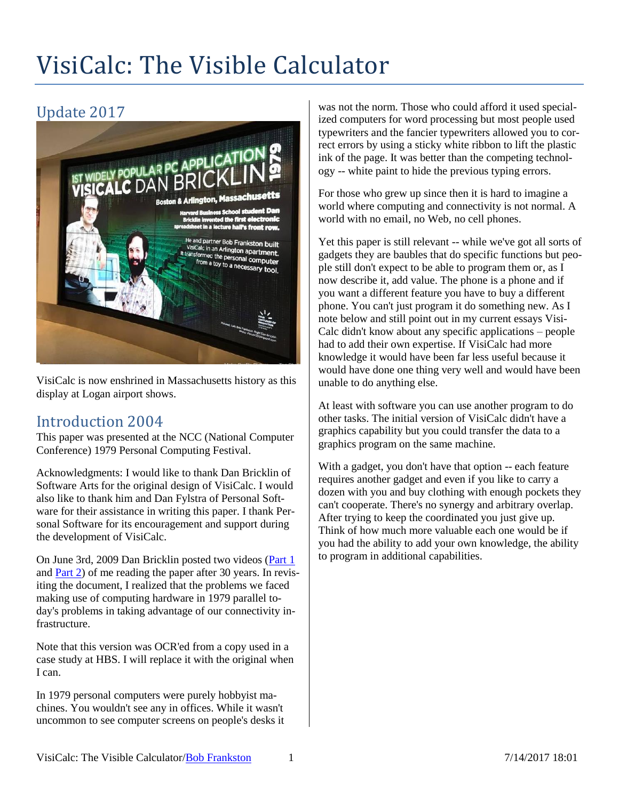# VisiCalc: The Visible Calculator

## Update 2017



VisiCalc is now enshrined in Massachusetts history as this display at Logan airport shows.

### Introduction 2004

This paper was presented at the NCC (National Computer Conference) 1979 Personal Computing Festival.

Acknowledgments: I would like to thank Dan Bricklin of Software Arts for the original design of VisiCalc. I would also like to thank him and Dan Fylstra of Personal Software for their assistance in writing this paper. I thank Personal Software for its encouragement and support during the development of VisiCalc.

On June 3rd, 2009 Dan Bricklin posted two videos [\(Part 1](http://www.youtube.com/watch?v=mb30PCtOemY) and [Part 2\)](http://www.youtube.com/watch?v=HIIV4fl7bbc) of me reading the paper after 30 years. In revisiting the document, I realized that the problems we faced making use of computing hardware in 1979 parallel today's problems in taking advantage of our connectivity infrastructure.

Note that this version was OCR'ed from a copy used in a case study at HBS. I will replace it with the original when I can.

In 1979 personal computers were purely hobbyist machines. You wouldn't see any in offices. While it wasn't uncommon to see computer screens on people's desks it

was not the norm. Those who could afford it used specialized computers for word processing but most people used typewriters and the fancier typewriters allowed you to correct errors by using a sticky white ribbon to lift the plastic ink of the page. It was better than the competing technology -- white paint to hide the previous typing errors.

For those who grew up since then it is hard to imagine a world where computing and connectivity is not normal. A world with no email, no Web, no cell phones.

Yet this paper is still relevant -- while we've got all sorts of gadgets they are baubles that do specific functions but people still don't expect to be able to program them or, as I now describe it, add value. The phone is a phone and if you want a different feature you have to buy a different phone. You can't just program it do something new. As I note below and still point out in my current essays Visi-Calc didn't know about any specific applications – people had to add their own expertise. If VisiCalc had more knowledge it would have been far less useful because it would have done one thing very well and would have been unable to do anything else.

At least with software you can use another program to do other tasks. The initial version of VisiCalc didn't have a graphics capability but you could transfer the data to a graphics program on the same machine.

With a gadget, you don't have that option -- each feature requires another gadget and even if you like to carry a dozen with you and buy clothing with enough pockets they can't cooperate. There's no synergy and arbitrary overlap. After trying to keep the coordinated you just give up. Think of how much more valuable each one would be if you had the ability to add your own knowledge, the ability to program in additional capabilities.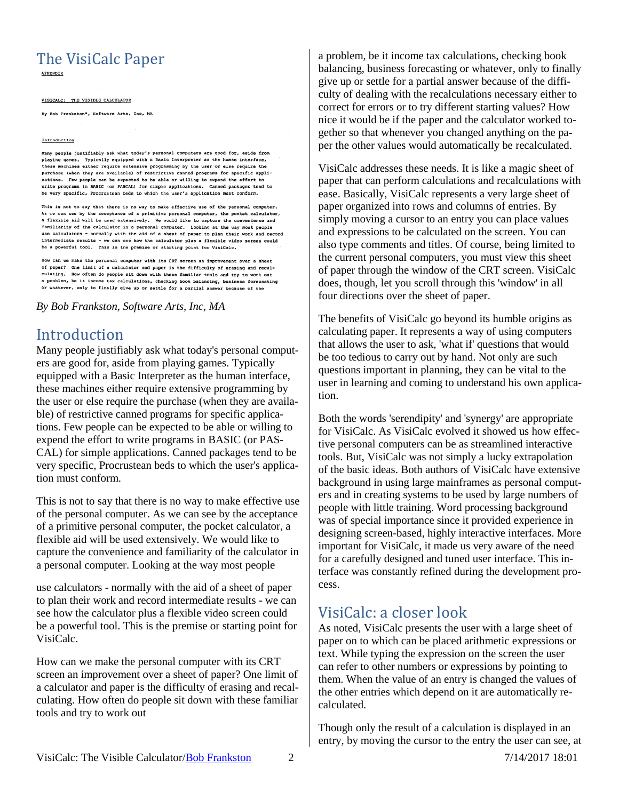## The VisiCalc Paper

VISICALC: THE VISIBLE CALCULATOR

By Bob Frankston\*, Software Arts, Inc, MA

#### Introduction

Many people justifiably ask what today's personal computers are good for, aside from playing games. Typically equipped with a Basic Interpreter as the human interface, these machines either require extensive programming by the user or else require the purchase (when they are available) of restrictive canned programs for specific applications. Few people can be expected to be able or willing to expend the effort to write programs in BASIC (or PASCAL) for simple applications. Canned packages tend to be very specific, Procrustean beds to which the user's application must conform.

This is not to say that there is no way to make effective use of the personal computer. can see by the acceptance of a primitive personal computer, the pocket calculator, a flexible aid will be used extensively. We would like to capture the convenience and<br>familiarity of the calculator in a personal computer. Looking at the way most people use calculators - normally with the aid of a sheet of paper to plan their work and record intermediate results - we can see how the calculator plus a flexible video screen could be a powerful tool. This is the premise or starting point for VisiCalc.

How can we make the personal computer with its CRT screen an improvement over a of paper? One limit of a calculator and paper is the difficulty of erasing and recalculating. How often do people sit down with these familiar tools and try to work out a problem, be it income tax calculations, checking book balancing, business forecasting or whatever, only to finally give up or settle for a partial answer because of the

*By Bob Frankston, Software Arts, Inc, MA*

#### Introduction

Many people justifiably ask what today's personal computers are good for, aside from playing games. Typically equipped with a Basic Interpreter as the human interface, these machines either require extensive programming by the user or else require the purchase (when they are available) of restrictive canned programs for specific applications. Few people can be expected to be able or willing to expend the effort to write programs in BASIC (or PAS-CAL) for simple applications. Canned packages tend to be very specific, Procrustean beds to which the user's application must conform.

This is not to say that there is no way to make effective use of the personal computer. As we can see by the acceptance of a primitive personal computer, the pocket calculator, a flexible aid will be used extensively. We would like to capture the convenience and familiarity of the calculator in a personal computer. Looking at the way most people

use calculators - normally with the aid of a sheet of paper to plan their work and record intermediate results - we can see how the calculator plus a flexible video screen could be a powerful tool. This is the premise or starting point for VisiCalc.

How can we make the personal computer with its CRT screen an improvement over a sheet of paper? One limit of a calculator and paper is the difficulty of erasing and recalculating. How often do people sit down with these familiar tools and try to work out

a problem, be it income tax calculations, checking book balancing, business forecasting or whatever, only to finally give up or settle for a partial answer because of the difficulty of dealing with the recalculations necessary either to correct for errors or to try different starting values? How nice it would be if the paper and the calculator worked together so that whenever you changed anything on the paper the other values would automatically be recalculated.

VisiCalc addresses these needs. It is like a magic sheet of paper that can perform calculations and recalculations with ease. Basically, VisiCalc represents a very large sheet of paper organized into rows and columns of entries. By simply moving a cursor to an entry you can place values and expressions to be calculated on the screen. You can also type comments and titles. Of course, being limited to the current personal computers, you must view this sheet of paper through the window of the CRT screen. VisiCalc does, though, let you scroll through this 'window' in all four directions over the sheet of paper.

The benefits of VisiCalc go beyond its humble origins as calculating paper. It represents a way of using computers that allows the user to ask, 'what if' questions that would be too tedious to carry out by hand. Not only are such questions important in planning, they can be vital to the user in learning and coming to understand his own application.

Both the words 'serendipity' and 'synergy' are appropriate for VisiCalc. As VisiCalc evolved it showed us how effective personal computers can be as streamlined interactive tools. But, VisiCalc was not simply a lucky extrapolation of the basic ideas. Both authors of VisiCalc have extensive background in using large mainframes as personal computers and in creating systems to be used by large numbers of people with little training. Word processing background was of special importance since it provided experience in designing screen-based, highly interactive interfaces. More important for VisiCalc, it made us very aware of the need for a carefully designed and tuned user interface. This interface was constantly refined during the development process.

#### VisiCalc: a closer look

As noted, VisiCalc presents the user with a large sheet of paper on to which can be placed arithmetic expressions or text. While typing the expression on the screen the user can refer to other numbers or expressions by pointing to them. When the value of an entry is changed the values of the other entries which depend on it are automatically recalculated.

Though only the result of a calculation is displayed in an entry, by moving the cursor to the entry the user can see, at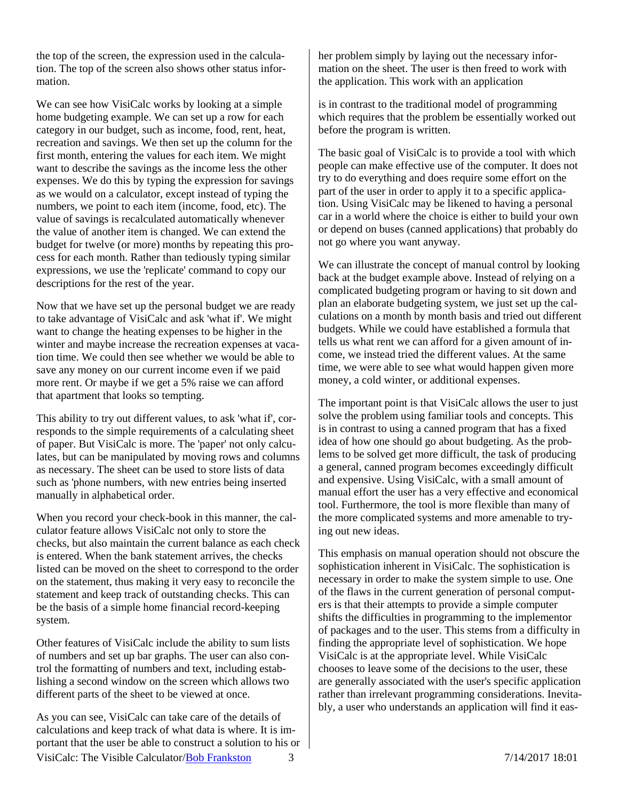the top of the screen, the expression used in the calculation. The top of the screen also shows other status information.

We can see how VisiCalc works by looking at a simple home budgeting example. We can set up a row for each category in our budget, such as income, food, rent, heat, recreation and savings. We then set up the column for the first month, entering the values for each item. We might want to describe the savings as the income less the other expenses. We do this by typing the expression for savings as we would on a calculator, except instead of typing the numbers, we point to each item (income, food, etc). The value of savings is recalculated automatically whenever the value of another item is changed. We can extend the budget for twelve (or more) months by repeating this process for each month. Rather than tediously typing similar expressions, we use the 'replicate' command to copy our descriptions for the rest of the year.

Now that we have set up the personal budget we are ready to take advantage of VisiCalc and ask 'what if'. We might want to change the heating expenses to be higher in the winter and maybe increase the recreation expenses at vacation time. We could then see whether we would be able to save any money on our current income even if we paid more rent. Or maybe if we get a 5% raise we can afford that apartment that looks so tempting.

This ability to try out different values, to ask 'what if', corresponds to the simple requirements of a calculating sheet of paper. But VisiCalc is more. The 'paper' not only calculates, but can be manipulated by moving rows and columns as necessary. The sheet can be used to store lists of data such as 'phone numbers, with new entries being inserted manually in alphabetical order.

When you record your check-book in this manner, the calculator feature allows VisiCalc not only to store the checks, but also maintain the current balance as each check is entered. When the bank statement arrives, the checks listed can be moved on the sheet to correspond to the order on the statement, thus making it very easy to reconcile the statement and keep track of outstanding checks. This can be the basis of a simple home financial record-keeping system.

Other features of VisiCalc include the ability to sum lists of numbers and set up bar graphs. The user can also control the formatting of numbers and text, including establishing a second window on the screen which allows two different parts of the sheet to be viewed at once.

VisiCalc: The Visible Calculator[/Bob Frankston](http://frankston.com/public) 3 7/14/2017 18:01 As you can see, VisiCalc can take care of the details of calculations and keep track of what data is where. It is important that the user be able to construct a solution to his or

her problem simply by laying out the necessary information on the sheet. The user is then freed to work with the application. This work with an application

is in contrast to the traditional model of programming which requires that the problem be essentially worked out before the program is written.

The basic goal of VisiCalc is to provide a tool with which people can make effective use of the computer. It does not try to do everything and does require some effort on the part of the user in order to apply it to a specific application. Using VisiCalc may be likened to having a personal car in a world where the choice is either to build your own or depend on buses (canned applications) that probably do not go where you want anyway.

We can illustrate the concept of manual control by looking back at the budget example above. Instead of relying on a complicated budgeting program or having to sit down and plan an elaborate budgeting system, we just set up the calculations on a month by month basis and tried out different budgets. While we could have established a formula that tells us what rent we can afford for a given amount of income, we instead tried the different values. At the same time, we were able to see what would happen given more money, a cold winter, or additional expenses.

The important point is that VisiCalc allows the user to just solve the problem using familiar tools and concepts. This is in contrast to using a canned program that has a fixed idea of how one should go about budgeting. As the problems to be solved get more difficult, the task of producing a general, canned program becomes exceedingly difficult and expensive. Using VisiCalc, with a small amount of manual effort the user has a very effective and economical tool. Furthermore, the tool is more flexible than many of the more complicated systems and more amenable to trying out new ideas.

This emphasis on manual operation should not obscure the sophistication inherent in VisiCalc. The sophistication is necessary in order to make the system simple to use. One of the flaws in the current generation of personal computers is that their attempts to provide a simple computer shifts the difficulties in programming to the implementor of packages and to the user. This stems from a difficulty in finding the appropriate level of sophistication. We hope VisiCalc is at the appropriate level. While VisiCalc chooses to leave some of the decisions to the user, these are generally associated with the user's specific application rather than irrelevant programming considerations. Inevitably, a user who understands an application will find it eas